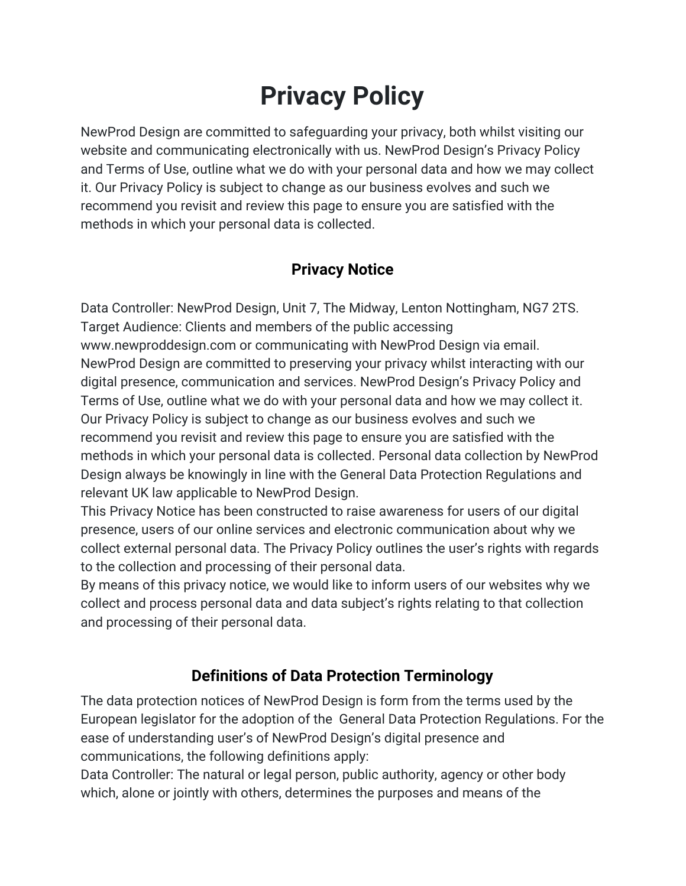# **Privacy Policy**

NewProd Design are committed to safeguarding your privacy, both whilst visiting our website and communicating electronically with us. NewProd Design's Privacy Policy and Terms of Use, outline what we do with your personal data and how we may collect it. Our Privacy Policy is subject to change as our business evolves and such we recommend you revisit and review this page to ensure you are satisfied with the methods in which your personal data is collected.

# **Privacy Notice**

Data Controller: NewProd Design, Unit 7, The Midway, Lenton Nottingham, NG7 2TS. Target Audience: Clients and members of the public accessing [www.newproddesign.com](http://www.newproddesign.com/) or communicating with NewProd Design via email. NewProd Design are committed to preserving your privacy whilst interacting with our digital presence, communication and services. NewProd Design's Privacy Policy and Terms of Use, outline what we do with your personal data and how we may collect it. Our Privacy Policy is subject to change as our business evolves and such we recommend you revisit and review this page to ensure you are satisfied with the methods in which your personal data is collected. Personal data collection by NewProd Design always be knowingly in line with the General Data Protection Regulations and relevant UK law applicable to NewProd Design.

This Privacy Notice has been constructed to raise awareness for users of our digital presence, users of our online services and electronic communication about why we collect external personal data. The Privacy Policy outlines the user's rights with regards to the collection and processing of their personal data.

By means of this privacy notice, we would like to inform users of our websites why we collect and process personal data and data subject's rights relating to that collection and processing of their personal data.

# **Definitions of Data Protection Terminology**

The data protection notices of NewProd Design is form from the terms used by the European legislator for the adoption of the General Data Protection Regulations. For the ease of understanding user's of NewProd Design's digital presence and communications, the following definitions apply:

Data Controller: The natural or legal person, public authority, agency or other body which, alone or jointly with others, determines the purposes and means of the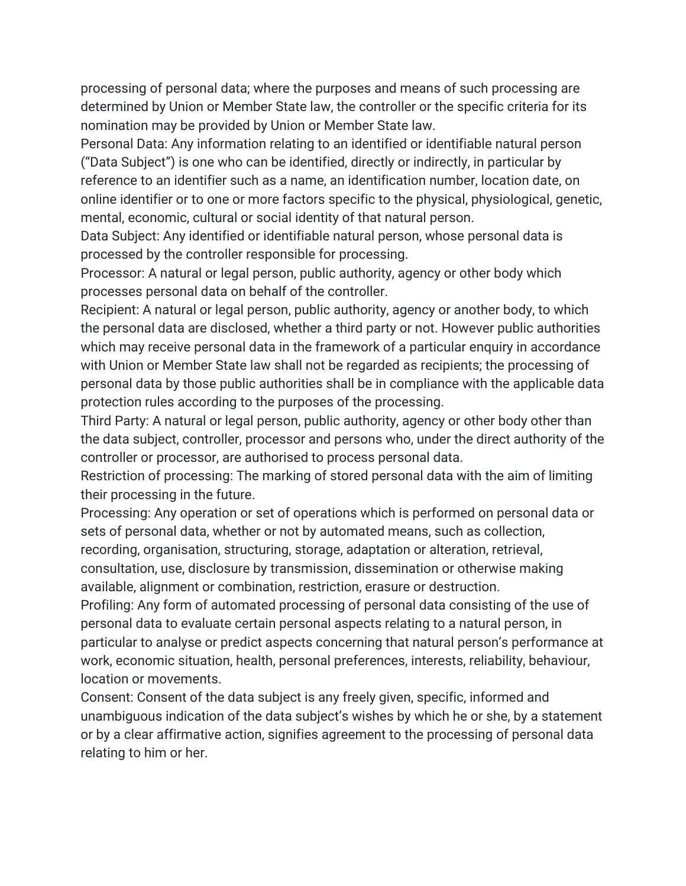processing of personal data; where the purposes and means of such processing are determined by Union or Member State law, the controller or the specific criteria for its nomination may be provided by Union or Member State law.

Personal Data: Any information relating to an identified or identifiable natural person ("Data Subject") is one who can be identified, directly or indirectly, in particular by reference to an identifier such as a name, an identification number, location date, on online identifier or to one or more factors specific to the physical, physiological, genetic, mental, economic, cultural or social identity of that natural person.

Data Subject: Any identified or identifiable natural person, whose personal data is processed by the controller responsible for processing.

Processor: A natural or legal person, public authority, agency or other body which processes personal data on behalf of the controller.

Recipient: A natural or legal person, public authority, agency or another body, to which the personal data are disclosed, whether a third party or not. However public authorities which may receive personal data in the framework of a particular enquiry in accordance with Union or Member State law shall not be regarded as recipients; the processing of personal data by those public authorities shall be in compliance with the applicable data protection rules according to the purposes of the processing.

Third Party: A natural or legal person, public authority, agency or other body other than the data subject, controller, processor and persons who, under the direct authority of the controller or processor, are authorised to process personal data.

Restriction of processing: The marking of stored personal data with the aim of limiting their processing in the future.

Processing: Any operation or set of operations which is performed on personal data or sets of personal data, whether or not by automated means, such as collection,

recording, organisation, structuring, storage, adaptation or alteration, retrieval,

consultation, use, disclosure by transmission, dissemination or otherwise making available, alignment or combination, restriction, erasure or destruction.

Profiling: Any form of automated processing of personal data consisting of the use of personal data to evaluate certain personal aspects relating to a natural person, in particular to analyse or predict aspects concerning that natural person's performance at work, economic situation, health, personal preferences, interests, reliability, behaviour, location or movements.

Consent: Consent of the data subject is any freely given, specific, informed and unambiguous indication of the data subject's wishes by which he or she, by a statement or by a clear affirmative action, signifies agreement to the processing of personal data relating to him or her.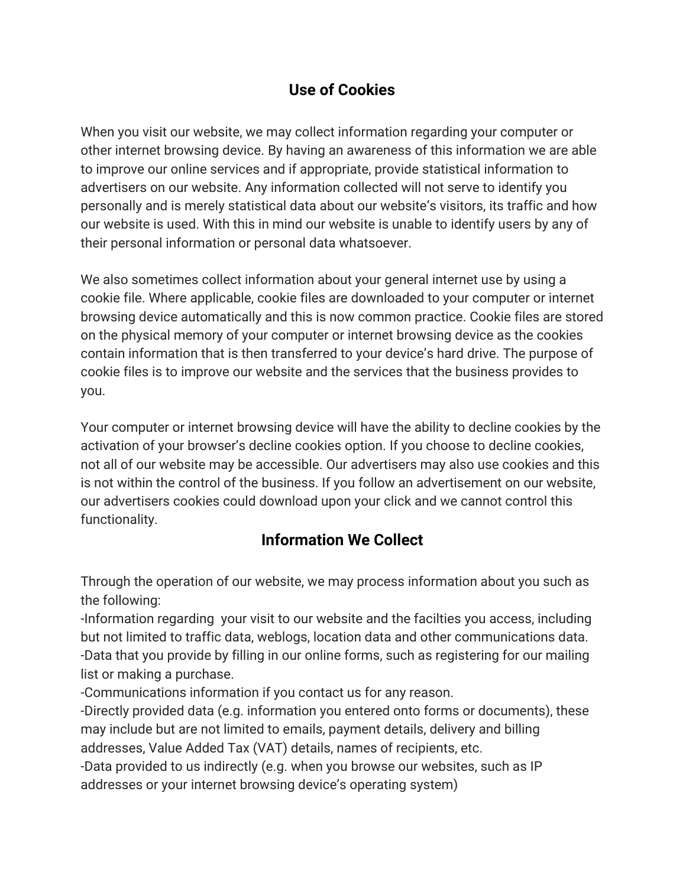## **Use of Cookies**

When you visit our website, we may collect information regarding your computer or other internet browsing device. By having an awareness of this information we are able to improve our online services and if appropriate, provide statistical information to advertisers on our website. Any information collected will not serve to identify you personally and is merely statistical data about our website's visitors, its traffic and how our website is used. With this in mind our website is unable to identify users by any of their personal information or personal data whatsoever.

We also sometimes collect information about your general internet use by using a cookie file. Where applicable, cookie files are downloaded to your computer or internet browsing device automatically and this is now common practice. Cookie files are stored on the physical memory of your computer or internet browsing device as the cookies contain information that is then transferred to your device's hard drive. The purpose of cookie files is to improve our website and the services that the business provides to you.

Your computer or internet browsing device will have the ability to decline cookies by the activation of your browser's decline cookies option. If you choose to decline cookies, not all of our website may be accessible. Our advertisers may also use cookies and this is not within the control of the business. If you follow an advertisement on our website, our advertisers cookies could download upon your click and we cannot control this functionality.

## **Information We Collect**

Through the operation of our website, we may process information about you such as the following:

-Information regarding your visit to our website and the facilties you access, including but not limited to traffic data, weblogs, location data and other communications data. -Data that you provide by filling in our online forms, such as registering for our mailing list or making a purchase.

-Communications information if you contact us for any reason.

-Directly provided data (e.g. information you entered onto forms or documents), these may include but are not limited to emails, payment details, delivery and billing addresses, Value Added Tax (VAT) details, names of recipients, etc.

-Data provided to us indirectly (e.g. when you browse our websites, such as IP addresses or your internet browsing device's operating system)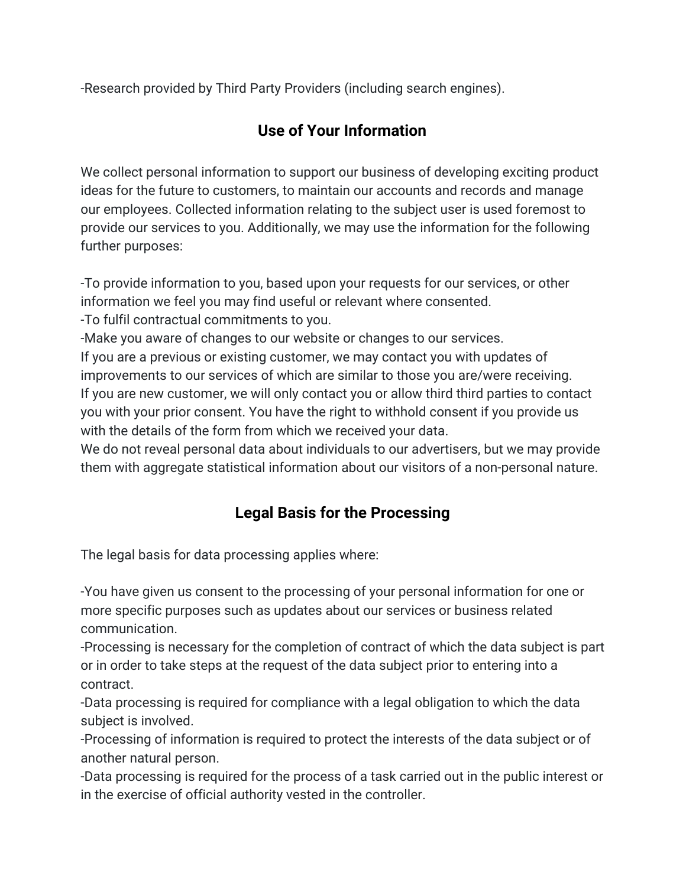-Research provided by Third Party Providers (including search engines).

# **Use of Your Information**

We collect personal information to support our business of developing exciting product ideas for the future to customers, to maintain our accounts and records and manage our employees. Collected information relating to the subject user is used foremost to provide our services to you. Additionally, we may use the information for the following further purposes:

-To provide information to you, based upon your requests for our services, or other information we feel you may find useful or relevant where consented.

-To fulfil contractual commitments to you.

-Make you aware of changes to our website or changes to our services.

If you are a previous or existing customer, we may contact you with updates of improvements to our services of which are similar to those you are/were receiving. If you are new customer, we will only contact you or allow third third parties to contact you with your prior consent. You have the right to withhold consent if you provide us with the details of the form from which we received your data.

We do not reveal personal data about individuals to our advertisers, but we may provide them with aggregate statistical information about our visitors of a non-personal nature.

## **Legal Basis for the Processing**

The legal basis for data processing applies where:

-You have given us consent to the processing of your personal information for one or more specific purposes such as updates about our services or business related communication.

-Processing is necessary for the completion of contract of which the data subject is part or in order to take steps at the request of the data subject prior to entering into a contract.

-Data processing is required for compliance with a legal obligation to which the data subject is involved.

-Processing of information is required to protect the interests of the data subject or of another natural person.

-Data processing is required for the process of a task carried out in the public interest or in the exercise of official authority vested in the controller.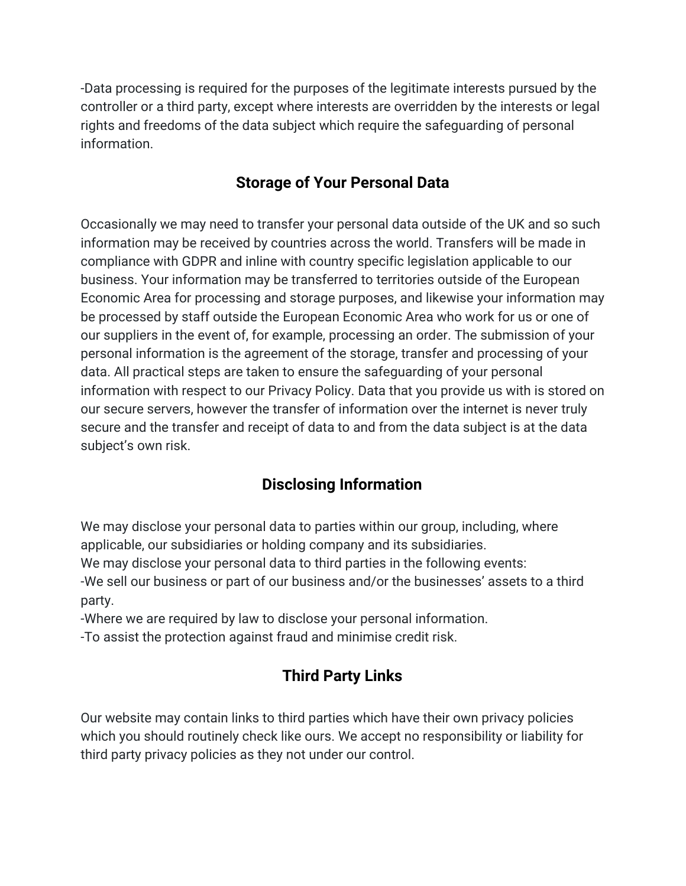-Data processing is required for the purposes of the legitimate interests pursued by the controller or a third party, except where interests are overridden by the interests or legal rights and freedoms of the data subject which require the safeguarding of personal information.

### **Storage of Your Personal Data**

Occasionally we may need to transfer your personal data outside of the UK and so such information may be received by countries across the world. Transfers will be made in compliance with GDPR and inline with country specific legislation applicable to our business. Your information may be transferred to territories outside of the European Economic Area for processing and storage purposes, and likewise your information may be processed by staff outside the European Economic Area who work for us or one of our suppliers in the event of, for example, processing an order. The submission of your personal information is the agreement of the storage, transfer and processing of your data. All practical steps are taken to ensure the safeguarding of your personal information with respect to our Privacy Policy. Data that you provide us with is stored on our secure servers, however the transfer of information over the internet is never truly secure and the transfer and receipt of data to and from the data subject is at the data subject's own risk.

## **Disclosing Information**

We may disclose your personal data to parties within our group, including, where applicable, our subsidiaries or holding company and its subsidiaries.

We may disclose your personal data to third parties in the following events:

-We sell our business or part of our business and/or the businesses' assets to a third party.

-Where we are required by law to disclose your personal information.

-To assist the protection against fraud and minimise credit risk.

# **Third Party Links**

Our website may contain links to third parties which have their own privacy policies which you should routinely check like ours. We accept no responsibility or liability for third party privacy policies as they not under our control.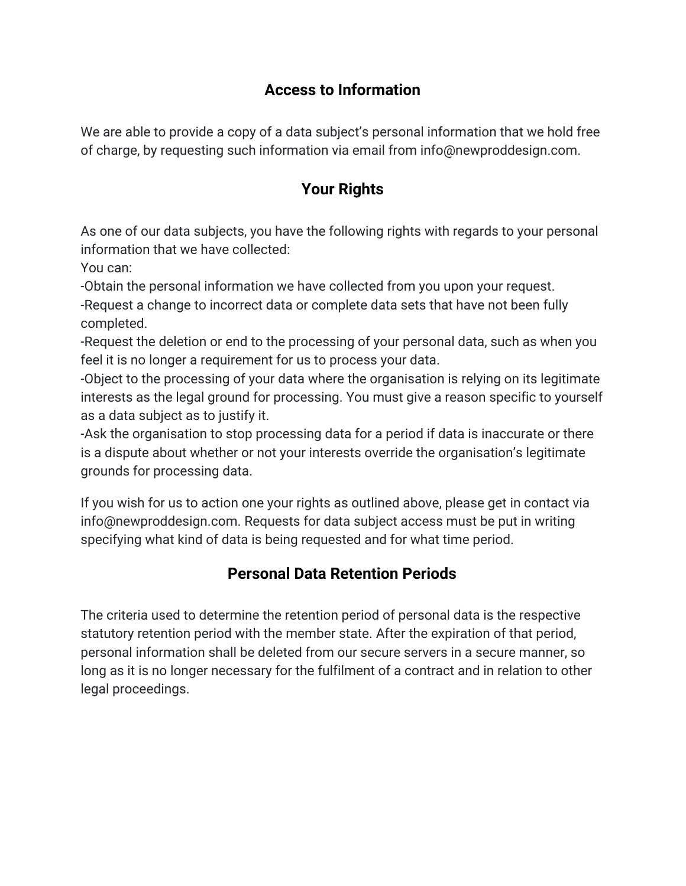#### **Access to Information**

We are able to provide a copy of a data subject's personal information that we hold free of charge, by requesting such information via email from info@newproddesign.com.

# **Your Rights**

As one of our data subjects, you have the following rights with regards to your personal information that we have collected:

You can:

-Obtain the personal information we have collected from you upon your request.

-Request a change to incorrect data or complete data sets that have not been fully completed.

-Request the deletion or end to the processing of your personal data, such as when you feel it is no longer a requirement for us to process your data.

-Object to the processing of your data where the organisation is relying on its legitimate interests as the legal ground for processing. You must give a reason specific to yourself as a data subject as to justify it.

-Ask the organisation to stop processing data for a period if data is inaccurate or there is a dispute about whether or not your interests override the organisation's legitimate grounds for processing data.

If you wish for us to action one your rights as outlined above, please get in contact via info@newproddesign.com. Requests for data subject access must be put in writing specifying what kind of data is being requested and for what time period.

#### **Personal Data Retention Periods**

The criteria used to determine the retention period of personal data is the respective statutory retention period with the member state. After the expiration of that period, personal information shall be deleted from our secure servers in a secure manner, so long as it is no longer necessary for the fulfilment of a contract and in relation to other legal proceedings.